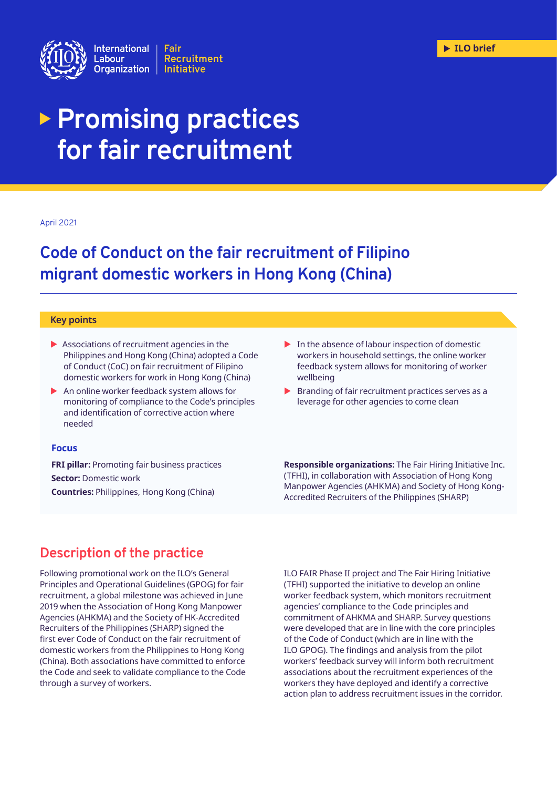

# **Promising practices for fair recruitment**

#### April 2021

## **Code of Conduct on the fair recruitment of Filipino migrant domestic workers in Hong Kong (China)**

#### **Key points**

- $\blacktriangleright$  Associations of recruitment agencies in the Philippines and Hong Kong (China) adopted a Code of Conduct (CoC) on fair recruitment of Filipino domestic workers for work in Hong Kong (China)
- An online worker feedback system allows for monitoring of compliance to the Code's principles and identification of corrective action where needed

#### **Focus**

**FRI pillar:** Promoting fair business practices **Sector:** Domestic work **Countries:** Philippines, Hong Kong (China)

- $\blacktriangleright$  In the absence of labour inspection of domestic workers in household settings, the online worker feedback system allows for monitoring of worker wellbeing
- $\blacktriangleright$  Branding of fair recruitment practices serves as a leverage for other agencies to come clean

**Responsible organizations:** The Fair Hiring Initiative Inc. (TFHI), in collaboration with Association of Hong Kong Manpower Agencies (AHKMA) and Society of Hong Kong-Accredited Recruiters of the Philippines (SHARP)

## **Description of the practice**

Following promotional work on the ILO's General Principles and Operational Guidelines (GPOG) for fair recruitment, a global milestone was achieved in June 2019 when the Association of Hong Kong Manpower Agencies (AHKMA) and the Society of HK-Accredited Recruiters of the Philippines (SHARP) signed the first ever Code of Conduct on the fair recruitment of domestic workers from the Philippines to Hong Kong (China). Both associations have committed to enforce the Code and seek to validate compliance to the Code through a survey of workers.

ILO FAIR Phase II project and The Fair Hiring Initiative (TFHI) supported the initiative to develop an online worker feedback system, which monitors recruitment agencies' compliance to the Code principles and commitment of AHKMA and SHARP. Survey questions were developed that are in line with the core principles of the Code of Conduct (which are in line with the ILO GPOG). The findings and analysis from the pilot workers' feedback survey will inform both recruitment associations about the recruitment experiences of the workers they have deployed and identify a corrective action plan to address recruitment issues in the corridor.